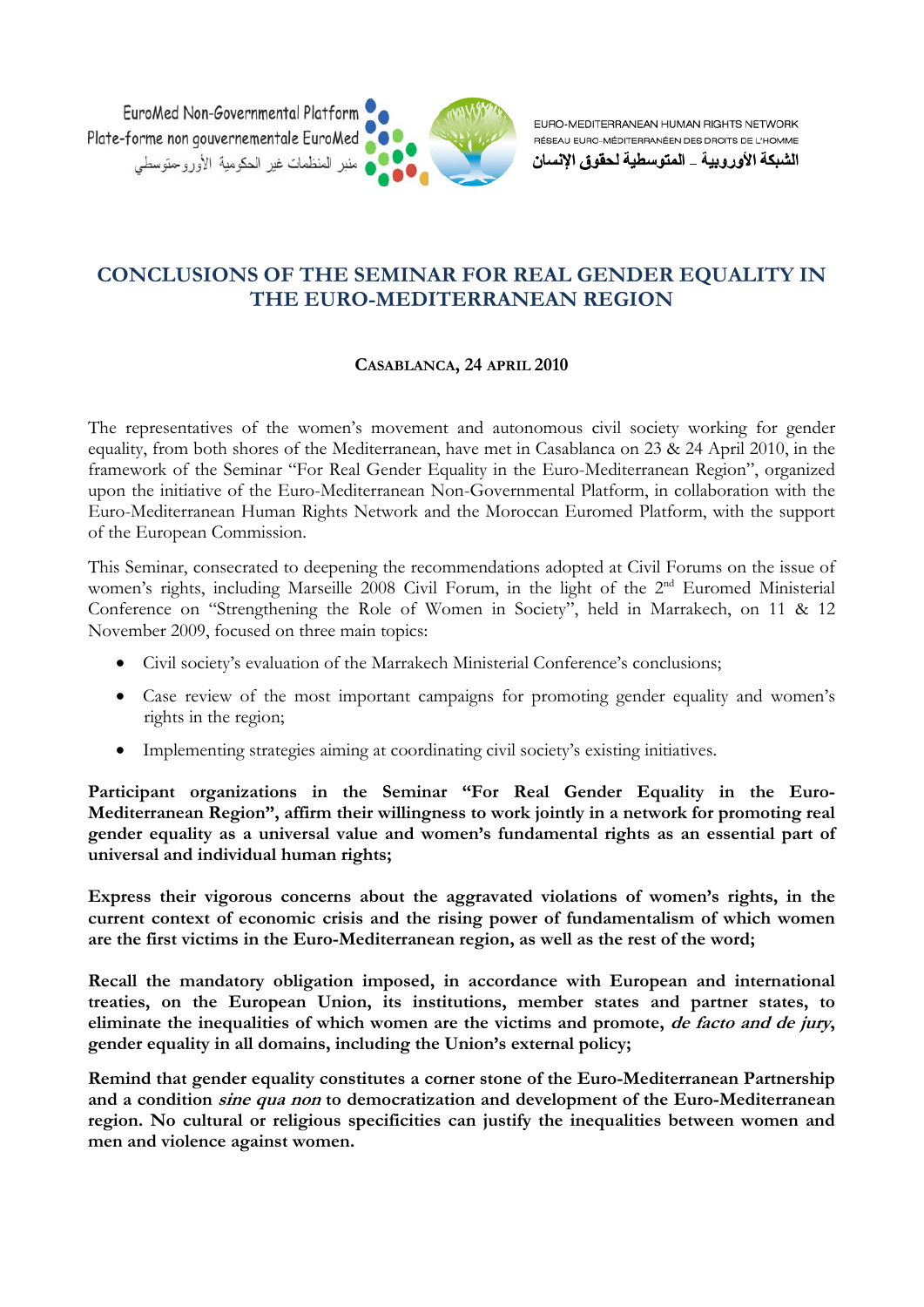

EURO-MEDITERRANEAN HUMAN RIGHTS NETWORK RÉSEAU EURO-MÉDITERRANÉEN DES DROITS DE L'HOMME

الشبكة الأوروبية \_ المتوسطية لحقوق الإنسان

## **CONCLUSIONS OF THE SEMINAR FOR REAL GENDER EQUALITY IN THE EURO-MEDITERRANEAN REGION**

## **CASABLANCA, 24 APRIL 2010**

The representatives of the women's movement and autonomous civil society working for gender equality, from both shores of the Mediterranean, have met in Casablanca on 23 & 24 April 2010, in the framework of the Seminar "For Real Gender Equality in the Euro-Mediterranean Region", organized upon the initiative of the Euro-Mediterranean Non-Governmental Platform, in collaboration with the Euro-Mediterranean Human Rights Network and the Moroccan Euromed Platform, with the support of the European Commission.

This Seminar, consecrated to deepening the recommendations adopted at Civil Forums on the issue of women's rights, including Marseille 2008 Civil Forum, in the light of the 2<sup>nd</sup> Euromed Ministerial Conference on "Strengthening the Role of Women in Society", held in Marrakech, on 11 & 12 November 2009, focused on three main topics:

- Civil society's evaluation of the Marrakech Ministerial Conference's conclusions;
- Case review of the most important campaigns for promoting gender equality and women's rights in the region;
- Implementing strategies aiming at coordinating civil society's existing initiatives.

**Participant organizations in the Seminar "For Real Gender Equality in the Euro-Mediterranean Region", affirm their willingness to work jointly in a network for promoting real gender equality as a universal value and women's fundamental rights as an essential part of universal and individual human rights;** 

**Express their vigorous concerns about the aggravated violations of women's rights, in the current context of economic crisis and the rising power of fundamentalism of which women are the first victims in the Euro-Mediterranean region, as well as the rest of the word;** 

**Recall the mandatory obligation imposed, in accordance with European and international treaties, on the European Union, its institutions, member states and partner states, to eliminate the inequalities of which women are the victims and promote, de facto and de jury, gender equality in all domains, including the Union's external policy;** 

**Remind that gender equality constitutes a corner stone of the Euro-Mediterranean Partnership and a condition sine qua non to democratization and development of the Euro-Mediterranean region. No cultural or religious specificities can justify the inequalities between women and men and violence against women.**